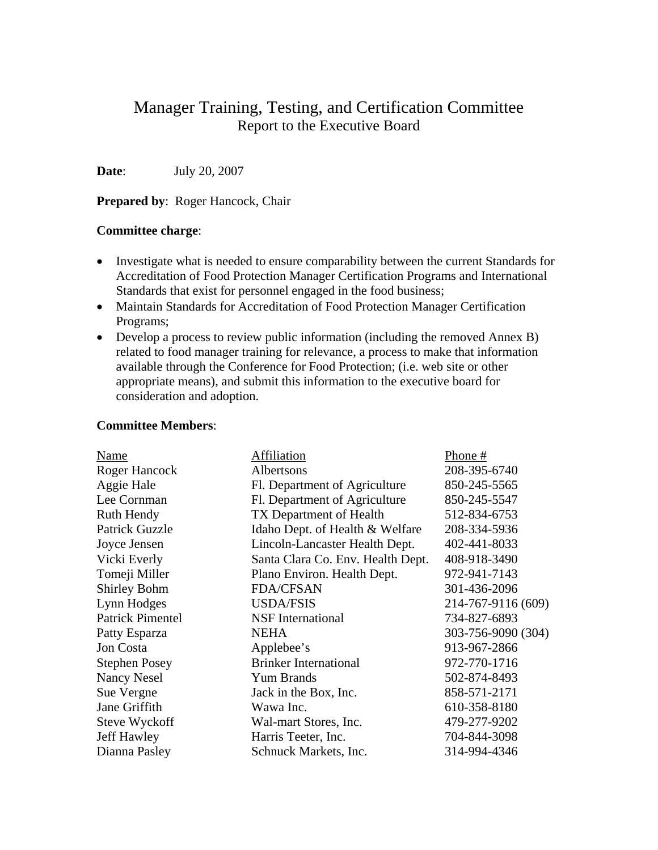# Manager Training, Testing, and Certification Committee Report to the Executive Board

**Date**: July 20, 2007

**Prepared by: Roger Hancock, Chair** 

#### **Committee charge**:

- Investigate what is needed to ensure comparability between the current Standards for Accreditation of Food Protection Manager Certification Programs and International Standards that exist for personnel engaged in the food business;
- Maintain Standards for Accreditation of Food Protection Manager Certification Programs;
- Develop a process to review public information (including the removed Annex B) related to food manager training for relevance, a process to make that information available through the Conference for Food Protection; (i.e. web site or other appropriate means), and submit this information to the executive board for consideration and adoption.

#### **Committee Members**:

| Name                    | Affiliation                       | Phone #            |
|-------------------------|-----------------------------------|--------------------|
| Roger Hancock           | Albertsons                        | 208-395-6740       |
| Aggie Hale              | Fl. Department of Agriculture     | 850-245-5565       |
| Lee Cornman             | Fl. Department of Agriculture     | 850-245-5547       |
| Ruth Hendy              | TX Department of Health           | 512-834-6753       |
| <b>Patrick Guzzle</b>   | Idaho Dept. of Health & Welfare   | 208-334-5936       |
| Joyce Jensen            | Lincoln-Lancaster Health Dept.    | 402-441-8033       |
| Vicki Everly            | Santa Clara Co. Env. Health Dept. | 408-918-3490       |
| Tomeji Miller           | Plano Environ. Health Dept.       | 972-941-7143       |
| <b>Shirley Bohm</b>     | <b>FDA/CFSAN</b>                  | 301-436-2096       |
| Lynn Hodges             | <b>USDA/FSIS</b>                  | 214-767-9116 (609) |
| <b>Patrick Pimentel</b> | <b>NSF</b> International          | 734-827-6893       |
| Patty Esparza           | <b>NEHA</b>                       | 303-756-9090 (304) |
| Jon Costa               | Applebee's                        | 913-967-2866       |
| <b>Stephen Posey</b>    | <b>Brinker International</b>      | 972-770-1716       |
| <b>Nancy Nesel</b>      | Yum Brands                        | 502-874-8493       |
| Sue Vergne              | Jack in the Box, Inc.             | 858-571-2171       |
| Jane Griffith           | Wawa Inc.                         | 610-358-8180       |
| Steve Wyckoff           | Wal-mart Stores, Inc.             | 479-277-9202       |
| <b>Jeff Hawley</b>      | Harris Teeter, Inc.               | 704-844-3098       |
| Dianna Pasley           | Schnuck Markets, Inc.             | 314-994-4346       |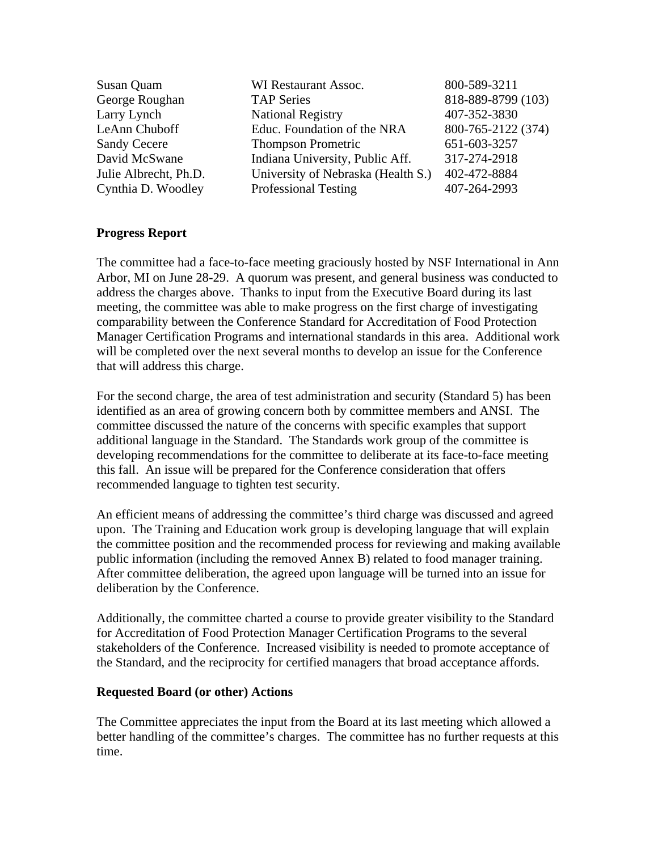| WI Restaurant Assoc.               | 800-589-3211       |
|------------------------------------|--------------------|
| <b>TAP Series</b>                  | 818-889-8799 (103) |
| <b>National Registry</b>           | 407-352-3830       |
| Educ. Foundation of the NRA        | 800-765-2122 (374) |
| <b>Thompson Prometric</b>          | 651-603-3257       |
| Indiana University, Public Aff.    | 317-274-2918       |
| University of Nebraska (Health S.) | 402-472-8884       |
| <b>Professional Testing</b>        | 407-264-2993       |
|                                    |                    |

### **Progress Report**

The committee had a face-to-face meeting graciously hosted by NSF International in Ann Arbor, MI on June 28-29. A quorum was present, and general business was conducted to address the charges above. Thanks to input from the Executive Board during its last meeting, the committee was able to make progress on the first charge of investigating comparability between the Conference Standard for Accreditation of Food Protection Manager Certification Programs and international standards in this area. Additional work will be completed over the next several months to develop an issue for the Conference that will address this charge.

For the second charge, the area of test administration and security (Standard 5) has been identified as an area of growing concern both by committee members and ANSI. The committee discussed the nature of the concerns with specific examples that support additional language in the Standard. The Standards work group of the committee is developing recommendations for the committee to deliberate at its face-to-face meeting this fall. An issue will be prepared for the Conference consideration that offers recommended language to tighten test security.

An efficient means of addressing the committee's third charge was discussed and agreed upon. The Training and Education work group is developing language that will explain the committee position and the recommended process for reviewing and making available public information (including the removed Annex B) related to food manager training. After committee deliberation, the agreed upon language will be turned into an issue for deliberation by the Conference.

Additionally, the committee charted a course to provide greater visibility to the Standard for Accreditation of Food Protection Manager Certification Programs to the several stakeholders of the Conference. Increased visibility is needed to promote acceptance of the Standard, and the reciprocity for certified managers that broad acceptance affords.

### **Requested Board (or other) Actions**

The Committee appreciates the input from the Board at its last meeting which allowed a better handling of the committee's charges. The committee has no further requests at this time.